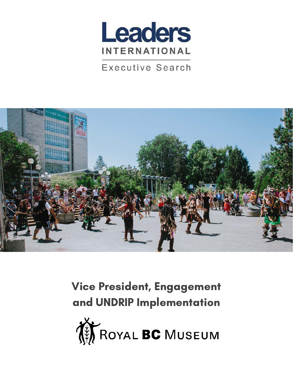

**Executive Search** 



Vice President, Engagement and UNDRIP Implementation

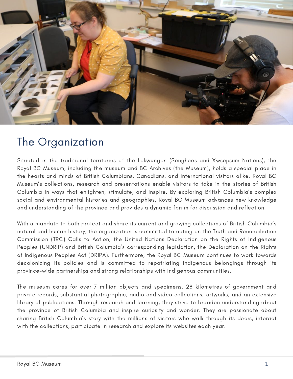

## The Organization

Situated in the traditional territories of the Lekwungen (Songhees and Xwsepsum Nations), the Royal BC Museum, including the museum and BC Archives (the Museum), holds a special place in the hearts and minds of British Columbians, Canadians, and international visitors alike. Royal BC Museum's collections, research and presentations enable visitors to take in the stories of British Columbia in ways that enlighten, stimulate, and inspire. By exploring British Columbia's complex social and environmental histories and geographies, Royal BC Museum advances new knowledge and understanding of the province and provides a dynamic forum for discussion and reflection.

With a mandate to both protect and share its current and growing collections of British Columbia's natural and human history, the organization is committed to acting on the Truth and Reconciliation Commission (TRC) Calls to Action, the United Nations Declaration on the Rights of Indigenous Peoples (UNDRIP) and British Columbia's corresponding legislation, the Declaration on the Rights of Indigenous Peoples Act (DRIPA). Furthermore, the Royal BC Museum continues to work towards decolonizing its policies and is committed to repatriating Indigenous belongings through its province-wide partnerships and strong relationships with Indigenous communities.

The museum cares for over 7 million objects and specimens, 28 kilometres of government and private records, substantial photographic, audio and video collections; artworks; and an extensive library of publications. Through research and learning, they strive to broaden understanding about the province of British Columbia and inspire curiosity and wonder. They are passionate about sharing British Columbia's story with the millions of visitors who walk through its doors, interact with the collections, participate in research and explore its websites each year.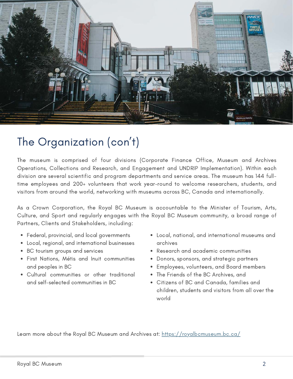

# The Organization (con't)

The museum is comprised of four divisions (Corporate Finance Office, Museum and Archives Operations, Collections and Research, and Engagement and UNDRIP Implementation). Within each division are several scientific and program departments and service areas. The museum has 144 fulltime employees and 200+ volunteers that work year-round to welcome researchers, students, and visitors from around the world, networking with museums across BC, Canada and internationally.

As a Crown Corporation, the Royal BC Museum is accountable to the Minister of Tourism, Arts, Culture, and Sport and regularly engages with the Royal BC Museum community, a broad range of Partners, Clients and Stakeholders, including:

- Federal, provincial, and local governments
- Local, regional, and international businesses
- BC tourism groups and services
- First Nations, Métis and Inuit communities and peoples in BC
- Cultural communities or other traditional and self-selected communities in BC
- Local, national, and international museums and archives
- Research and academic communities
- Donors, sponsors, and strategic partners
- Employees, volunteers, and Board members
- The Friends of the BC Archives, and
- Citizens of BC and Canada, families and children, students and visitors from all over the world

Learn more about the Royal BC Museum and Archives at:<https://royalbcmuseum.bc.ca/>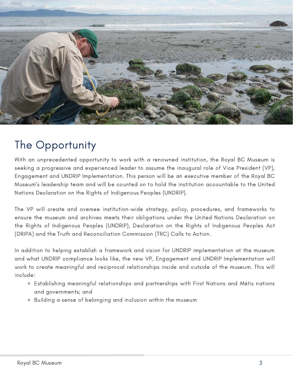

## The Opportunity

With an unprecedented opportunity to work with a renowned institution, the Royal BC Museum is seeking a progressive and experienced leader to assume the inaugural role of Vice President (VP), Engagement and UNDRIP Implementation. This person will be an executive member of the Royal BC Museum's leadership team and will be counted on to hold the institution accountable to the United Nations Declaration on the Rights of Indigenous Peoples (UNDRIP).

The VP will create and oversee institution-wide strategy, policy, procedures, and frameworks to ensure the museum and archives meets their obligations under the United Nations Declaration on the Rights of Indigenous Peoples (UNDRIP), Declaration on the Rights of Indigenous Peoples Act (DRIPA) and the Truth and Reconciliation Commission (TRC) Calls to Action.

In addition to helping establish a framework and vision for UNDRIP implementation at the museum and what UNDRIP compliance looks like, the new VP, Engagement and UNDRIP Implementation will work to create meaningful and reciprocal relationships inside and outside of the museum. This will include:

- Establishing meaningful relationships and partnerships with First Nations and Métis nations and governments; and
- Building a sense of belonging and inclusion within the museum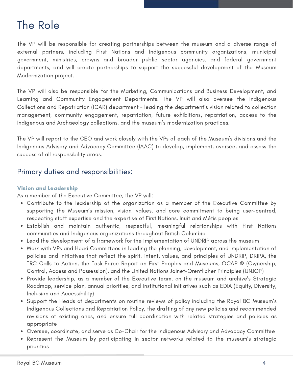# The Role

The VP will be responsible for creating partnerships between the museum and a diverse range of external partners, including First Nations and Indigenous community organizations, municipal government, ministries, crowns and broader public sector agencies, and federal government departments, and will create partnerships to support the successful development of the Museum Modernization project.

The VP will also be responsible for the Marketing, Communications and Business Development, and Learning and Community Engagement Departments. The VP will also oversee the Indigenous Collections and Repatriation (ICAR) department – leading the department's vision related to collection management, community engagement, repatriation, future exhibitions, repatriation, access to the Indigenous and Archaeology collections, and the museum's modernization practices.

The VP will report to the CEO and work closely with the VPs of each of the Museum's divisions and the Indigenous Advisory and Advocacy Committee (IAAC) to develop, implement, oversee, and assess the success of all responsibility areas.

### Primary duties and responsibilities:

#### Vision and Leadership

As a member of the Executive Committee, the VP will:

- Contribute to the leadership of the organization as a member of the Executive Committee by supporting the Museum's mission, vision, values, and core commitment to being user-centred, respecting staff expertise and the expertise of First Nations, Inuit and Métis peoples
- Establish and maintain authentic, respectful, meaningful relationships with First Nations communities and Indigenous organizations throughout British Columbia
- Lead the development of a framework for the implementation of UNDRIP across the museum
- Work with VPs and Head Committees in leading the planning, development, and implementation of policies and initiatives that reflect the spirit, intent, values, and principles of UNDRIP, DRIPA, the TRC Calls to Action, the Task Force Report on First Peoples and Museums, OCAP ® (Ownership, Control, Access and Possession), and the United Nations Joinet-Orentlicher Principles (UNJOP)
- Provide leadership, as a member of the Executive team, on the museum and archive's Strategic Roadmap, service plan, annual priorities, and institutional initiatives such as EDIA (Equity, Diversity, Inclusion and Accessibility)
- Support the Heads of departments on routine reviews of policy including the Royal BC Museum's Indigenous Collections and Repatriation Policy, the drafting of any new policies and recommended revisions of existing ones, and ensure full coordination with related strategies and policies as appropriate
- Oversee, coordinate, and serve as Co-Chair for the Indigenous Advisory and Advocacy Committee
- Represent the Museum by participating in sector networks related to the museum's strategic priorities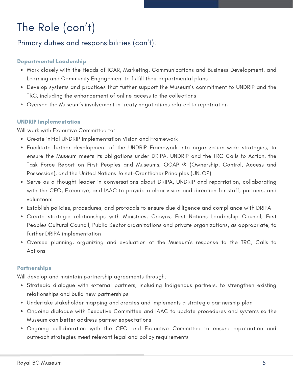# The Role (con't)

### Primary duties and responsibilities (con't):

#### Departmental Leadership

- Work closely with the Heads of ICAR, Marketing, Communications and Business Development, and Learning and Community Engagement to fulfill their departmental plans
- Develop systems and practices that further support the Museum's commitment to UNDRIP and the TRC, including the enhancement of online access to the collections
- Oversee the Museum's involvement in treaty negotiations related to repatriation

#### UNDRIP Implementation

Will work with Executive Committee to:

- Create initial UNDRIP Implementation Vision and Framework
- Facilitate further development of the UNDRIP Framework into organization-wide strategies, to ensure the Museum meets its obligations under DRIPA, UNDRIP and the TRC Calls to Action, the Task Force Report on First Peoples and Museums, OCAP ® (Ownership, Control, Access and Possession), and the United Nations Joinet-Orentlicher Principles (UNJOP)
- Serve as a thought leader in conversations about DRIPA, UNDRIP and repatriation, collaborating with the CEO, Executive, and IAAC to provide a clear vision and direction for staff, partners, and volunteers
- Establish policies, procedures, and protocols to ensure due diligence and compliance with DRIPA
- Create strategic relationships with Ministries, Crowns, First Nations Leadership Council, First Peoples Cultural Council, Public Sector organizations and private organizations, as appropriate, to further DRIPA implementation
- Oversee planning, organizing and evaluation of the Museum's response to the TRC, Calls to Actions

#### Partnerships

Will develop and maintain partnership agreements through:

- Strategic dialogue with external partners, including Indigenous partners, to strengthen existing relationships and build new partnerships
- Undertake stakeholder mapping and creates and implements a strategic partnership plan
- Ongoing dialogue with Executive Committee and IAAC to update procedures and systems so the Museum can better address partner expectations
- Ongoing collaboration with the CEO and Executive Committee to ensure repatriation and outreach strategies meet relevant legal and policy requirements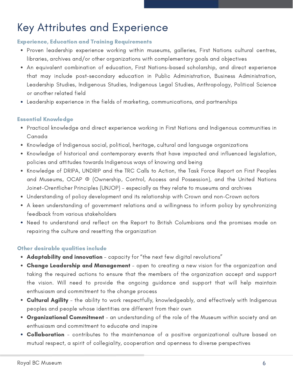# Key Attributes and Experience

#### Experience, Education and Training Requirements

- Proven leadership experience working within museums, galleries, First Nations cultural centres, libraries, archives and/or other organizations with complementary goals and objectives
- An equivalent combination of education, First Nations-based scholarship, and direct experience that may include post-secondary education in Public Administration, Business Administration, Leadership Studies, Indigenous Studies, Indigenous Legal Studies, Anthropology, Political Science or another related field
- Leadership experience in the fields of marketing, communications, and partnerships

#### Essential Knowledge

- Practical knowledge and direct experience working in First Nations and Indigenous communities in Canada
- Knowledge of Indigenous social, political, heritage, cultural and language organizations
- Knowledge of historical and contemporary events that have impacted and influenced legislation, policies and attitudes towards Indigenous ways of knowing and being
- Knowledge of DRIPA, UNDRIP and the TRC Calls to Action, the Task Force Report on First Peoples and Museums, OCAP ® (Ownership, Control, Access and Possession), and the United Nations Joinet-Orentlicher Principles (UNJOP) – especially as they relate to museums and archives
- Understanding of policy development and its relationship with Crown and non-Crown actors
- A keen understanding of government relations and a willingness to inform policy by synchronizing feedback from various stakeholders
- Need to understand and reflect on the Report to British Columbians and the promises made on repairing the culture and resetting the organization

#### Other desirable qualities include

- Adaptability and innovation capacity for "the next few digital revolutions"
- Change Leadership and Management open to creating a new vision for the organization and taking the required actions to ensure that the members of the organization accept and support the vision. Will need to provide the ongoing guidance and support that will help maintain enthusiasm and commitment to the change process
- Cultural Agility the ability to work respectfully, knowledgeably, and effectively with Indigenous peoples and people whose identities are different from their own
- **Organizational Commitment** an understanding of the role of the Museum within society and an enthusiasm and commitment to educate and inspire
- Collaboration contributes to the maintenance of a positive organizational culture based on mutual respect, a spirit of collegiality, cooperation and openness to diverse perspectives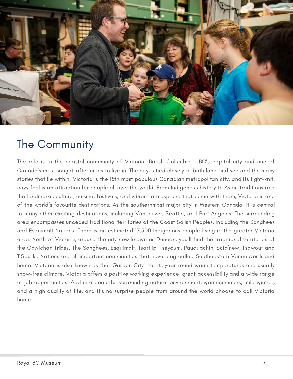

### The Community

The role is in the coastal community of Victoria, British Columbia – BC's capital city and one of Canada's most sought-after cities to live in. The city is tied closely to both land and sea and the many stories that lie within. Victoria is the 15th most populous Canadian metropolitan city, and its tight-knit, cozy feel is an attraction for people all over the world. From Indigenous history to Asian traditions and the landmarks, culture, cuisine, festivals, and vibrant atmosphere that come with them, Victoria is one of the world's favourite destinations. As the southernmost major city in Western Canada, it is central to many other exciting destinations, including Vancouver, Seattle, and Port Angeles. The surrounding area encompasses unceded traditional territories of the Coast Salish Peoples, including the Songhees and Esquimalt Nations. There is an estimated 17,500 Indigenous people living in the greater Victoria area. North of Victoria, around the city now known as Duncan, you'll find the traditional territories of the Cowichan Tribes. The Songhees, Esquimalt, Tsartlip, Tseycum, Pauquachin, Scia'new, Tsawout and T'Sou-ke Nations are all important communities that have long called Southeastern Vancouver Island home. Victoria is also known as the "Garden City" for its year-round warm temperatures and usually snow-free climate. Victoria offers a positive working experience, great accessibility and a wide range of job opportunities. Add in a beautiful surrounding natural environment, warm summers, mild winters and a high quality of life, and it's no surprise people from around the world choose to call Victoria home.